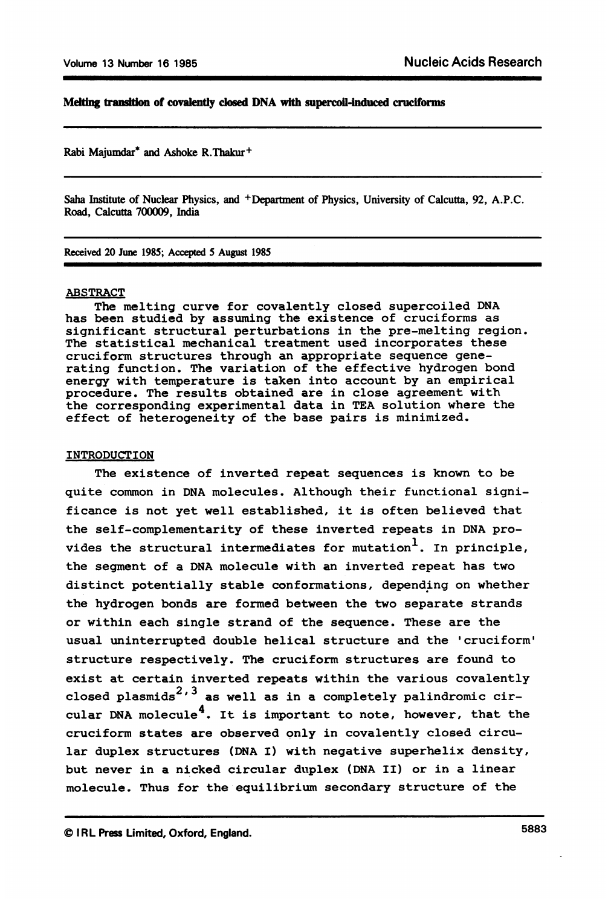# Melting transition of covalently closed DNA with supercoil-induced cruciforms

Rabi Majumdar\* and Ashoke R.Thakur+

Saha Institute of Nuclear Physics, and +Department of Physics, University of Calcutta, 92, A.P.C. Road, Calcutta 700009, India

Recived 20 June 1985; Accepted 5 August 1985

#### ABSTRACT

The melting curve for covalently closed supercoiled DNA has been studied by assuming the existence of cruciforms as significant structural perturbations in the pre-melting region. The statistical mechanical treatment used incorporates these cruciform structures through an appropriate sequence generating function. The variation of the effective hydrogen bond energy with temperature is taken into account by an empirical procedure. The results obtained are in close agreement with the corresponding experimental data in TEA solution where the effect of heterogeneity of the base pairs is minimized.

# INTRODUCTION

The existence of inverted repeat sequences is known to be quite common in DNA molecules. Although their functional significance is not yet well established, it is often believed that the self-complementarity of these inverted repeats in DNA provides the structural intermediates for mutation<sup>1</sup>. In principle. the segment of a DNA molecule with an inverted repeat has two distinct potentially stable conformations, depending on whether the hydrogen bonds are formed between the two separate strands or within each single strand of the sequence. These are the usual uninterrupted double helical structure and the 'cruciform' structure respectively. The cruciform structures are found to exist at certain inverted repeats within the various covalently closed plasmids<sup>2, 3</sup> as well as in a completely palindromic circular DNA molecule<sup>4</sup>. It is important to note, however, that the cruciform states are observed only in covalently closed circular duplex structures (DNA I) with negative superhelix density, but never in a nicked circular duplex (DNA II) or in a linear molecule. Thus for the equilibrium secondary structure of the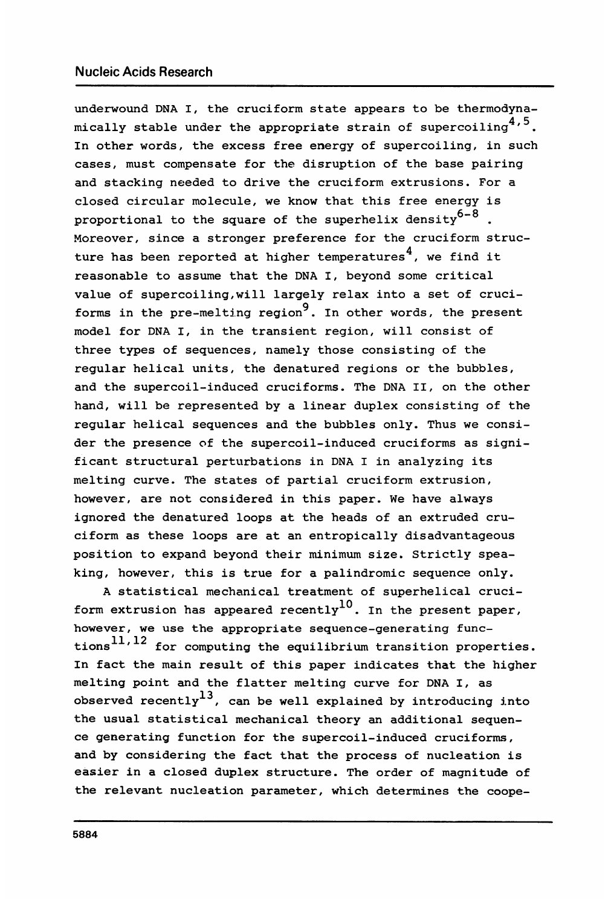underwound DNA I, the cruciform state appears to be thermodynamically stable under the appropriate strain of supercoiling<sup>4,5</sup>. In other words, the excess free energy of supercoiling, in such cases, must compensate for the disruption of the base pairing and stacking needed to drive the cruciform extrusions. For a closed circular molecule, we know that this free energy is proportional to the square of the superhelix density<sup>6-8</sup>. Moreover, since a stronger preference for the cruciform structure has been reported at higher temperatures<sup>4</sup>, we find it reasonable to assume that the DNA I, beyond some critical value of supercoiling,will largely relax into a set of cruciforms in the pre-melting region<sup>9</sup>. In other words, the present model for DNA I, in the transient region, will consist of three types of sequences, namely those consisting of the regular helical units, the denatured regions or the bubbles, and the supercoil-induced cruciforms. The DNA II, on the other hand, will be represented by a linear duplex consisting of the regular helical sequences and the bubbles only. Thus we consider the presence of the supercoil-induced cruciforms as significant structural perturbations in DNA I in analyzing its melting curve. The states of partial cruciform extrusion, however, are not considered in this paper. We have always ignored the denatured loops at the heads of an extruded cruciform as these loops are at an entropically disadvantageous position to expand beyond their minimum size. Strictly speaking, however, this is true for a palindromic sequence only.

A statistical mechanical treatment of superhelical cruciform extrusion has appeared recently<sup>10</sup>. In the present paper, however, we use the appropriate sequence-generating functions $^{11,12}$  for computing the equilibrium transition properties. In fact the main result of this paper indicates that the higher melting point and the flatter melting curve for DNA I, as observed recently<sup>13</sup>, can be well explained by introducing into the usual statistical mechanical theory an additional sequence generating function for the supercoil-induced cruciforms, and by considering the fact that the process of nucleation is easier in a closed duplex structure. The order of magnitude of the relevant nucleation parameter, which determines the coope-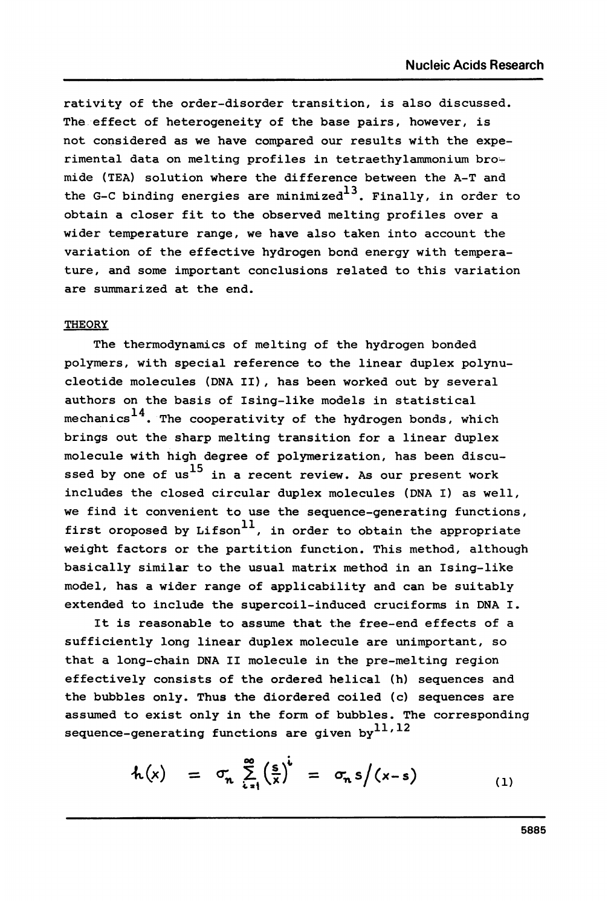rativity of the order-disorder transition, is also discussed. The effect of heterogeneity of the base pairs, however, is not considered as we have compared our results with the experimental data on melting profiles in tetraethylammonium bromide (TEA) solution where the difference between the A-T and the G-C binding energies are minimized<sup>13</sup>. Finally, in order to obtain a closer fit to the observed melting profiles over a wider temperature range, we have also taken into account the variation of the effective hydrogen bond energy with temperature, and some important conclusions related to this variation are summarized at the end.

# **THEORY**

The thermodynamics of melting of the hydrogen bonded polymers, with special reference to the linear duplex polynucleotide molecules (DNA II), has been worked out by several authors on the basis of Ising-like models in statistical mechanics<sup>14</sup>. The cooperativity of the hydrogen bonds, which brings out the sharp melting transition for a linear duplex molecule with high degree of polymerization, has been discussed by one of us<sup>15</sup> in a recent review. As our present work includes the closed circular duplex molecules (DNA I) as well, we find it convenient to use the sequence-generating functions, first oroposed by  $Lifson<sup>11</sup>$ , in order to obtain the appropriate weight factors or the partition function. This method, although basically similar to the usual matrix method in an Ising-like model, has a wider range of applicability and can be suitably extended to include the supercoil-induced cruciforms in DNA I.

It is reasonable to assume that the free-end effects of a sufficiently long linear duplex molecule are unimportant, so that a long-chain DNA II molecule in the pre-melting region effectively consists of the ordered helical (h) sequences and the bubbles only. Thus the diordered coiled (c) sequences are assumed to exist only in the form of bubbles. The corresponding sequence-generating functions are given by<sup>11,12</sup>

$$
h(x) = \sigma_n \sum_{i=1}^{\infty} \left(\frac{s}{x}\right)^i = \sigma_n s/(x-s) \qquad (1)
$$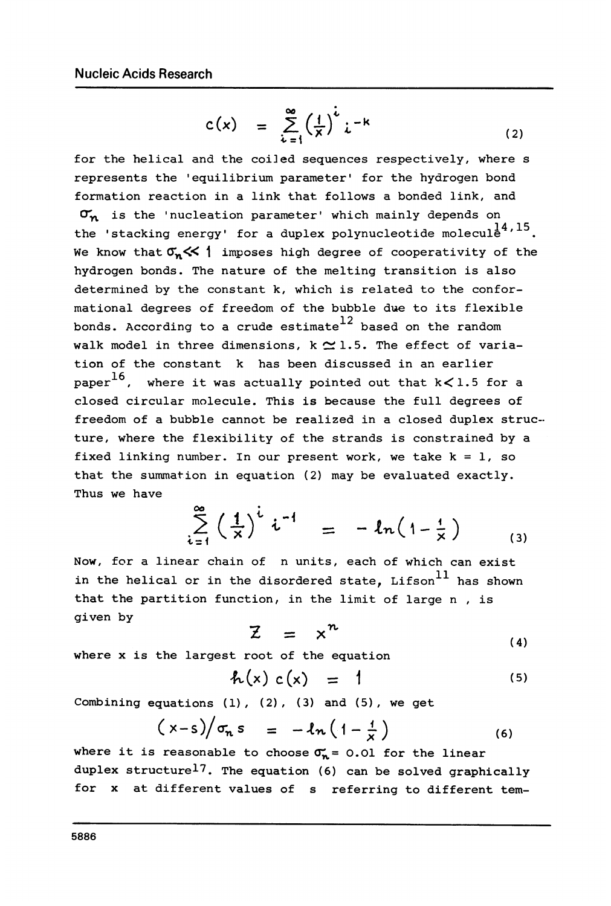$$
c(x) = \sum_{k=1}^{\infty} \left(\frac{1}{x}\right)^k i^{-k} \tag{2}
$$

for the helical and the coiled sequences respectively, where s represents the 'equilibrium parameter' for the hydrogen bond formation reaction in a link that follows a bonded link, and  $\sigma_{n}$  is the 'nucleation parameter' which mainly depends on the 'stacking energy' for a duplex polynucleotide molecule<sup>1,15</sup>. We know that  $\sigma_n \ll 1$  imposes high degree of cooperativity of the hydrogen bonds. The nature of the melting transition is also determined by the constant k, which is related to the conformational degrees of freedom of the bubble due to its flexible bonds. According to a crude estimate  $12$  based on the random walk model in three dimensions, k  $\simeq$  1.5. The effect of variation of the constant k has been discussed in an earlier paper<sup>16</sup>, where it was actually pointed out that  $k < 1.5$  for a closed circular molecule. This is because the full degrees of freedom of a bubble cannot be realized in a closed duplex struc- ture, where the flexibility of the strands is constrained by a fixed linking number. In our present work, we take  $k = 1$ , so that the summation in equation (2) may be evaluated exactly. Thus we have

$$
\sum_{i=1}^{\infty} \left(\frac{1}{x}\right)^{i} i^{-1} = -ln(1-\frac{1}{x})
$$
 (3)

Now, for a linear chain of n units, each of which can exist in the helical or in the disordered state,  $Lifson$ <sup>11</sup> has shown that the partition function, in the limit of large n , is given by

$$
Z = x^n \tag{4}
$$

where x is the largest root of the equation

$$
f_{L}(x) c(x) = 1 \tag{5}
$$

Combining equations  $(1)$ ,  $(2)$ ,  $(3)$  and  $(5)$ , we get

$$
(x-s)/\sigma_n s = -ln(1-\frac{1}{x})
$$
 (6)

where it is reasonable to choose  $\sigma_n = 0.01$  for the linear duplex structurel7. The equation (6) can be solved graphically for x at different values of s referring to different tem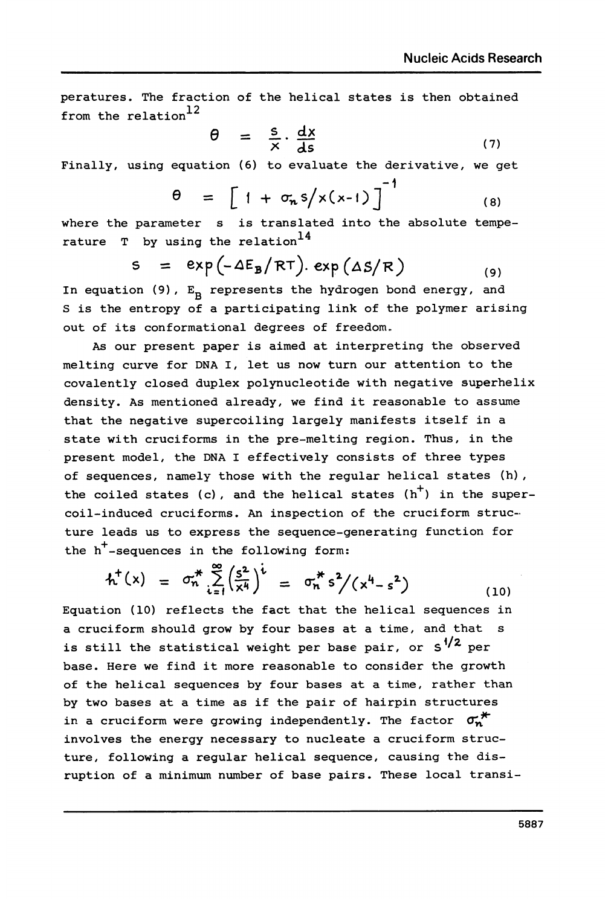peratures. The fraction of the helical states is then obtained from the relation<sup>12</sup>

$$
\theta = \frac{s}{x} \cdot \frac{dx}{ds} \tag{7}
$$

Finally, using equation (6) to evaluate the derivative, we get

$$
\theta = \left[1 + \sigma_n s / x(x-1)\right]^{-1}
$$
 (8)

where the parameter s is translated into the absolute temperature  $T$  by using the relation<sup>14</sup>

$$
s = exp(-\Delta E_B/RT). exp(\Delta S/R)
$$
 (9)

In equation (9),  $E_B$  represents the hydrogen bond energy, and S is the entropy of a participating link of the polymer arising out of its conformational degrees of freedom..

As our present paper is aimed at interpreting the observed melting curve for DNA I, let us now turn our attention to the covalently closed duplex polynucleotide with negative superhelix density. As mentioned already, we find it reasonable to assume that the negative supercoiling largely manifests itself in a state with cruciforms in the pre-melting region. Thus, in the present model, the DNA <sup>I</sup> effectively consists of three types of sequences, namely those with the regular helical states (h), the coiled states (c), and the helical states (h<sup>+</sup>) in the super-<br>
coil-induced cruciforms. An inspection of the cruciform struc-<br>
ture leads us to express the sequence-generating function for<br>
the h<sup>+</sup>-sequences in the coil-induced cruciforms. An inspection of the cruciform structure leads us to express the sequence-generating function for the  $h^+$ -sequences in the following form:

$$
h^{+}(x) = \sigma_{n}^{*} \sum_{i=1}^{\infty} \left( \frac{s^{2}}{x^{4}} \right)^{t} = \sigma_{n}^{*} s^{2} / (x^{4} - s^{2}) \qquad (10)
$$

Equation (10) reflects the fact that the helical sequences in a cruciform should grow by four bases at a time, and that s is still the statistical weight per base pair, or  $s^{1/2}$  per base. Here we find it more reasonable to consider the growth of the helical sequences by four bases at a time, rather than by two bases at a time as if the pair of hairpin structures in a cruciform were growing independently. The factor  $\sigma_n^*$ involves the energy necessary to nucleate a cruciform structure, following a regular helical sequence, causing the disruption of a minimum number of base pairs. These local transi-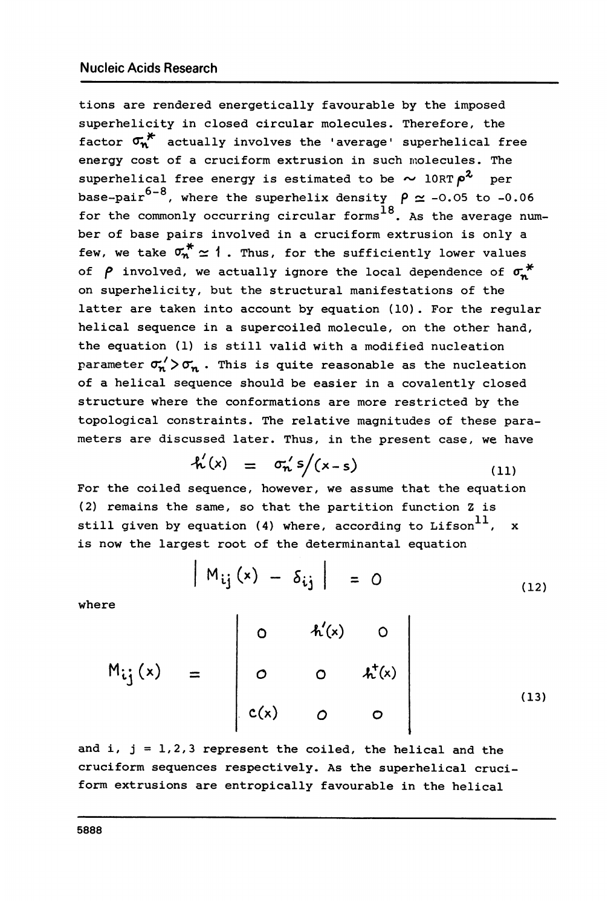tions are rendered energetically favourable by the imposed superhelicity in closed circular molecules. Therefore, the factor  $\sigma_{\mathbf{w}}^*$  actually involves the 'average' superhelical free energy cost of a cruciform extrusion in such molecules. The superhelical free energy is estimated to be  $\sim 10RT \rho^2$  per base-pair<sup>6-8</sup>, where the superhelix density  $\rho \simeq -0.05$  to -0.06 for the commonly occurring circular forms<sup>18</sup>. As the average number of base pairs involved in a cruciform extrusion is only a few, we take  $\sigma_n^* \simeq 1$ . Thus, for the sufficiently lower values of  $\rho$  involved, we actually ignore the local dependence of  $\sigma$ <sup>\*</sup> on superhelicity, but the structural manifestations of the latter are taken into account by equation (10). For the regular helical sequence in a supercoiled molecule, on the other hand, the equation (1) is still valid with a modified nucleation parameter  $\sigma'_n$  >  $\sigma'_n$ . This is quite reasonable as the nucleation of a helical sequence should be easier in a covalently closed structure where the conformations are more restricted by the topological constraints. The relative magnitudes of these parameters are discussed later. Thus, in the present case, we have

$$
\hat{h}'(x) = \sigma_n' s / (x - s) \tag{11}
$$

For the coiled sequence, however, we assume that the equation (2) remains the same, so that the partition function Z is still given by equation (4) where, according to Lifson<sup>11</sup>, x is now the largest root of the determinantal equation

$$
|M_{ij}(x) - \delta_{ij}| = 0
$$
 (12)

where

$$
M_{ij}(x) = \begin{bmatrix} 0 & h'(x) & 0 \\ 0 & 0 & h^{T}(x) \\ c(x) & 0 & 0 \end{bmatrix}
$$
 (13)

and i,  $j = 1, 2, 3$  represent the coiled, the helical and the cruciform sequences respectively. As the superhelical cruciform extrusions are entropically favourable in the helical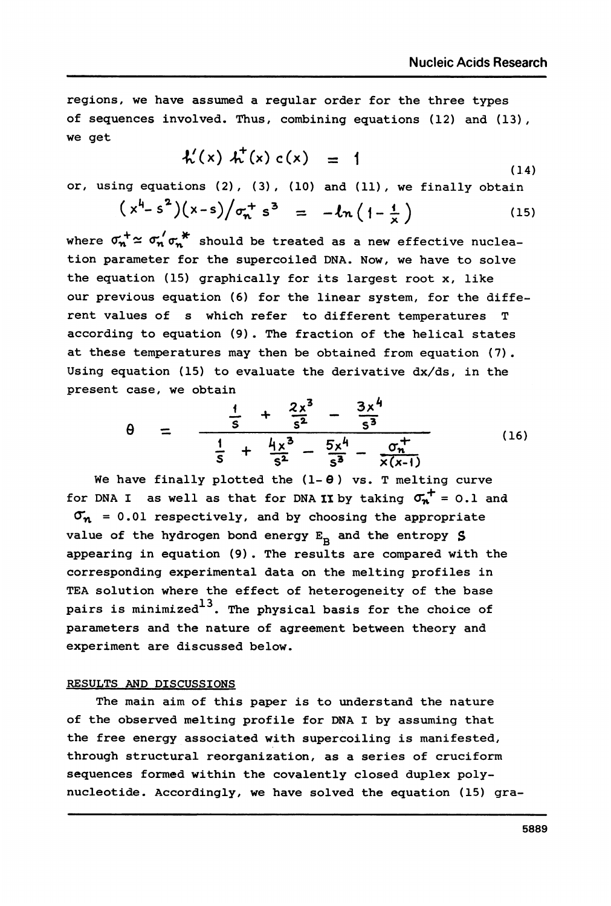regions, we have assumed a regular order for the three types of sequences involved. Thus, combining equations (12) and (13), we get

$$
h'(x) h''(x) c(x) = 1 \tag{14}
$$

or, using equations (2), (3), (10) and (11), we finally obtain  

$$
(x^4 - s^2)(x - s)/\sigma_n^+ s^3 = -\ln(1 - \frac{1}{x})
$$
(15)

where  $\sigma_n^+ \simeq \sigma_n' \sigma_n^*$  should be treated as a new effective nucleation parameter for the supercoiled DNA. Now, we have to solve the equation (15) graphically for its largest root x, like our previous equation (6) for the linear system, for the different values of s which refer to different temperatures T according to equation (9). The fraction of the helical states at these temperatures may then be obtained from equation (7). Using equation (15) to evaluate the derivative dx/ds, in the present case, we obtain and be treated as a new ef<br>
supercoiled DNA. Now, we<br>
bhically for its largest r<br>
(6) for the linear system<br>
ich refer to different te<br>
(9). The fraction of the<br>
may then be obtained from<br>
be valuate the derivative<br>
in<br>

Case, we obtain  
\n
$$
\theta = \frac{\frac{1}{s} + \frac{2x^3}{s^2} - \frac{3x^4}{s^3}}{\frac{1}{s} + \frac{4x^3}{s^2} - \frac{5x^4}{s^3} - \frac{6x^4}{x(x-1)}}
$$
\n(16)

We have finally plotted the  $(1 - \theta)$  vs. T melting curve for DNA I as well as that for DNA II by taking  $\sigma_{n}^+ = 0.1$  and  $\sigma_n$  = 0.01 respectively, and by choosing the appropriate value of the hydrogen bond energy  $E_B$  and the entropy S appearing in equation (9). The results are compared with the corresponding experimental data on the melting profiles in TEA solution where the effect of heterogeneity of the base pairs is minimized<sup>13</sup>. The physical basis for the choice of parameters and the nature of agreement between theory and experiment are discussed below.

### RESULTS AND DISCUSSIONS

The main aim of this paper is to understand the nature of the observed melting profile for DNA I by assuming that the free energy associated with supercoiling is manifested, through structural reorganization, as a series of cruciform sequences formed within the covalently closed duplex polynucleotide. Accordingly, we have solved the equation (15) gra-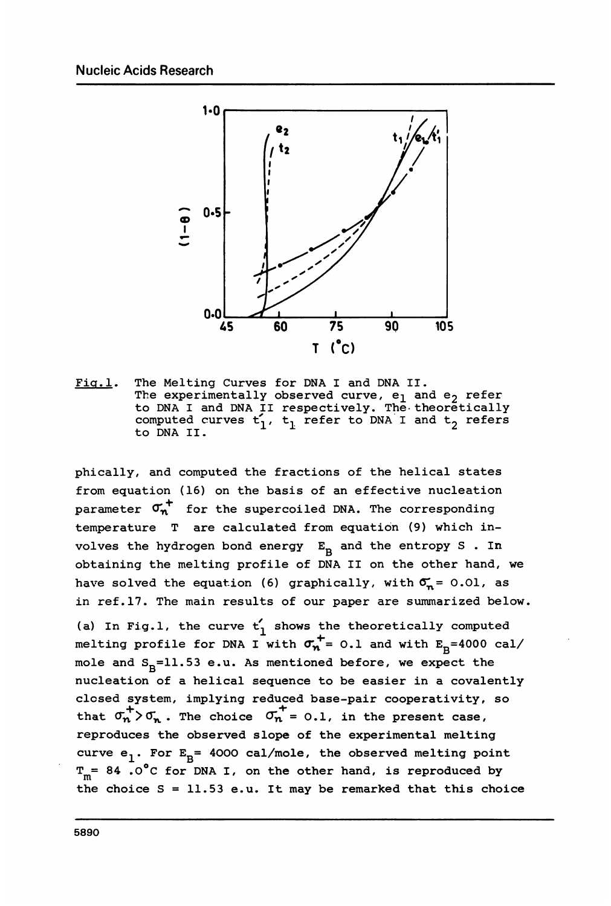

Fig.1. The Melting Curves for DNA I and DNA II. The experimentally observed curve,  ${\tt e}_1$  and  ${\tt e}_2$  refer to DNA I and DNA II respectively. The theoretically computed curves t1, t<sub>1</sub> refer to DNA I and t<sub>2</sub> refers<br>to DNA II.

phically, and computed the fractions of the helical states from equation (16) on the basis of an effective nucleation parameter  $\sigma_n^+$  for the supercoiled DNA. The corresponding temperature T are calculated from equation (9) which involves the hydrogen bond energy  $E_p$  and the entropy S . In obtaining the melting profile of DNA II on the other hand, we have solved the equation (6) graphically, with  $\sigma_n = 0.01$ , as in ref.17. The main results of our paper are summarized below. (a) In Fig.1, the curve  $t'_{1}$  shows the theoretically computed melting profile for DNA I with  $\sigma_n^+$  = 0.1 and with  $E_p$ =4000 cal/ mole and  $S_B=11.53$  e.u. As mentioned before, we expect the nucleation of a helical sequence to be easier in a covalently closed system, implying reduced base-pair cooperativity, so that  $\sigma_n^+$   $\rightarrow$   $\sigma_n$ . The choice  $\sigma_n^+$  = 0.1, in the present case, reproduces the observed slope of the experimental melting curve  $e_1$ . For  $E_B$ = 4000 cal/mole, the observed melting point  $T_m$ = 84.0°C for DNA I, on the other hand, is reproduced by the choice  $S = 11.53$  e.u. It may be remarked that this choice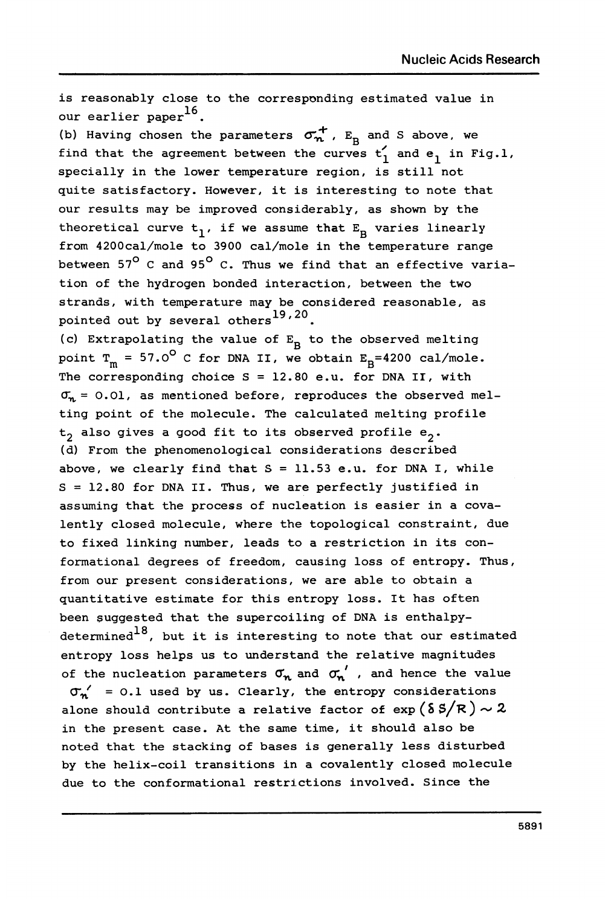is reasonably close to the corresponding estimated value in our earlier paper<sup>16</sup>. (b) Having chosen the parameters  $\sigma_n^+$ ,  $E_B$  and S above, we find that the agreement between the curves  $t_1$  and e<sub>1</sub> in Fig.l, specially in the lower temperature region, is still not quite satisfactory. However, it is interesting to note that our results may be improved considerably, as shown by the theoretical curve  $t_1$ , if we assume that  $E_p$  varies linearly from 4200cal/mole to 3900 cal/mole in the temperature range between  $57^{\circ}$  C and  $95^{\circ}$  C. Thus we find that an effective variation of the hydrogen bonded interaction, between the two strands, with temperature may be considered reasonable, as pointed out by several others<sup>19,20</sup>. (c) Extrapolating the value of  $E_B$  to the observed melting point  $T_m = 57.0^{\circ}$  C for DNA II, we obtain  $E_R = 4200$  cal/mole. The corresponding choice  $S = 12.80$  e.u. for DNA II, with  $\sigma_n = 0.01$ , as mentioned before, reproduces the observed melting point of the molecule. The calculated melting profile  $t_2$  also gives a good fit to its observed profile  $e_2$ . (d) From the phenomenological considerations described above, we clearly find that  $S = 11.53$  e.u. for DNA I, while  $S = 12.80$  for DNA II. Thus, we are perfectly justified in assuming that the process of nucleation is easier in a covalently closed molecule, where the topological constraint, due to fixed linking number, leads to a restriction in its conformational degrees of freedom, causing loss of entropy. Thus, from our present considerations, we are able to obtain a quantitative estimate for this entropy loss. It has often been suggested that the supercoiling of DNA is enthalpydetermined<sup>18</sup>, but it is interesting to note that our estimated entropy loss helps us to understand the relative magnitudes of the nucleation parameters  $\sigma_n$  and  $\sigma_n'$ , and hence the value  $\sigma_n'$  = 0.1 used by us. Clearly, the entropy considerations alone should contribute a relative factor of  $\exp(\delta S/R) \sim 2$ in the present case. At the same time, it should also be noted that the stacking of bases is generally less disturbed by the helix-coil transitions in a covalently closed molecule due to the conformational restrictions involved. Since the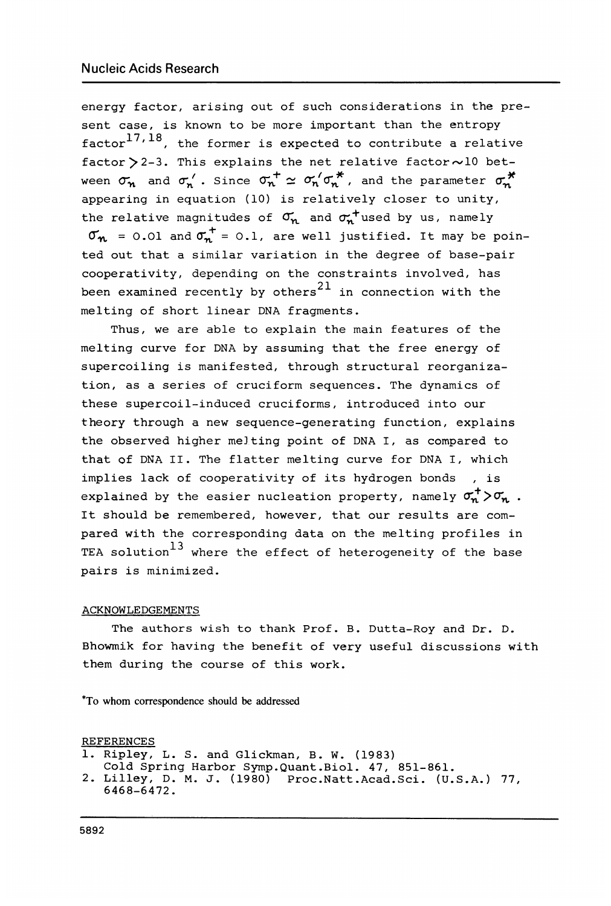energy factor, arising out of such considerations in the present case, is known to be more important than the entropy  $factor<sup>17,18</sup>$ , the former is expected to contribute a relative factor  $>$  2-3. This explains the net relative factor  $\sim$  10 between  $\sigma_{n}$  and  $\sigma'_{n}$ . Since  $\sigma_{n}^{+} \simeq \sigma'_{n} / \sigma_{n}^{*}$ , and the parameter  $\sigma_{n}^{*}$ appearing in equation (10) is relatively closer to unity, the relative magnitudes of  $\sigma_n$  and  $\sigma_n^+$ used by us, namely  $\sigma_{n}$  = 0.01 and  $\sigma_{n}^{+}$  = 0.1, are well justified. It may be pointed out that a similar variation in the degree of base-pair cooperativity, depending on the constraints involved, has been examined recently by others<sup>21</sup> in connection with the melting of short linear DNA fragments.

Thus, we are able to explain the main features of the melting curve for DNA by assuming that the free energy of supercoiling is manifested, through structural reorganization, as a series of cruciform sequences. The dynamics of these supercoil-induced cruciforms, introduced into our theory through a new sequence-generating function, explains the observed higher me]ting point of DNA I, as compared to that of DNA II. The flatter melting curve for DNA I, which implies lack of cooperativity of its hydrogen bonds , is explained by the easier nucleation property, namely  $\sigma_n^+$  > $\sigma_n$ . It should be remembered, however, that our results are compared with the corresponding data on the melting profiles in TEA solution<sup>13</sup> where the effect of heterogeneity of the base pairs is minimized.

### ACKNOWLEDGEMENTS

The authors wish to thank Prof. B. Dutta-Roy and Dr. D. Bhowmik for having the benefit of very useful discussions with them during the course of this work.

\*To whom correspondence should be addressed

REFERENCES

```
1. Ripley, L. S. and Glickman, B. W. (1983)
```

```
Cold Spring Harbor Symp.Quant.Biol. 47, 851-861.
```

```
2. Lilley, D. M. J. (1980) Proc.Natt.Acad.Sci. (U.S.A.) 77,
  6468-6472.
```